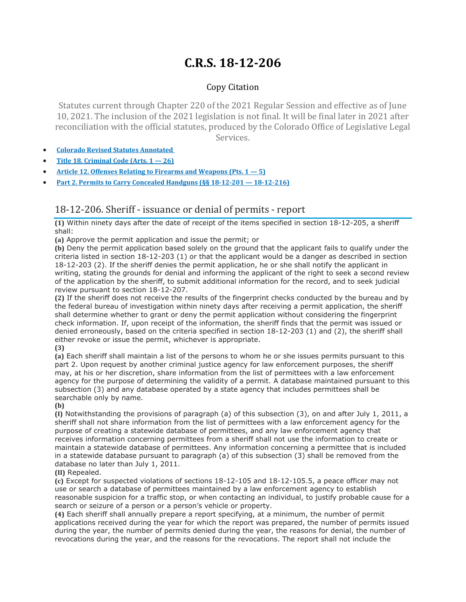# **C.R.S. 18-12-206**

## Copy Citation

Statutes current through Chapter 220 of the 2021 Regular Session and effective as of June 10, 2021. The inclusion of the 2021 legislation is not final. It will be final later in 2021 after reconciliation with the official statutes, produced by the Colorado Office of Legislative Legal Services.

- **Colorado Revised Statutes [Annotated](https://advance.lexis.com/documentpage/?pdmfid=1000516&crid=50428cc5-1473-4914-931a-a3fba2624475&pdistocdocslideraccess=true&config=014FJAAyNGJkY2Y4Zi1mNjgyLTRkN2YtYmE4OS03NTYzNzYzOTg0OGEKAFBvZENhdGFsb2d592qv2Kywlf8caKqYROP5&pddocfullpath=%2Fshared%2Fdocument%2Fstatutes-legislation%2Furn%3AcontentItem%3A61P5-WSW1-DYDC-J3D1-00008-00&pdcomponentid=234177&pdtocnodeidentifier=AASAAWAACAAG&ecomp=sssdkkk&prid=78af74fc-d704-4447-8666-48eb24ac9a4b)**
- **Title 18. [Criminal](https://advance.lexis.com/documentpage/?pdmfid=1000516&crid=50428cc5-1473-4914-931a-a3fba2624475&pdistocdocslideraccess=true&config=014FJAAyNGJkY2Y4Zi1mNjgyLTRkN2YtYmE4OS03NTYzNzYzOTg0OGEKAFBvZENhdGFsb2d592qv2Kywlf8caKqYROP5&pddocfullpath=%2Fshared%2Fdocument%2Fstatutes-legislation%2Furn%3AcontentItem%3A61P5-WSW1-DYDC-J3D1-00008-00&pdcomponentid=234177&pdtocnodeidentifier=AASAAWAACAAG&ecomp=sssdkkk&prid=78af74fc-d704-4447-8666-48eb24ac9a4b) Code (Arts. 1 — 26)**
- **Article 12. Offenses Relating to Firearms and [Weapons](https://advance.lexis.com/documentpage/?pdmfid=1000516&crid=50428cc5-1473-4914-931a-a3fba2624475&pdistocdocslideraccess=true&config=014FJAAyNGJkY2Y4Zi1mNjgyLTRkN2YtYmE4OS03NTYzNzYzOTg0OGEKAFBvZENhdGFsb2d592qv2Kywlf8caKqYROP5&pddocfullpath=%2Fshared%2Fdocument%2Fstatutes-legislation%2Furn%3AcontentItem%3A61P5-WSW1-DYDC-J3D1-00008-00&pdcomponentid=234177&pdtocnodeidentifier=AASAAWAACAAG&ecomp=sssdkkk&prid=78af74fc-d704-4447-8666-48eb24ac9a4b) (Pts. 1 — 5)**
- **Part 2. Permits to Carry Concealed Handguns (§§ 18-12-201 — [18-12-216\)](https://advance.lexis.com/documentpage/?pdmfid=1000516&crid=50428cc5-1473-4914-931a-a3fba2624475&pdistocdocslideraccess=true&config=014FJAAyNGJkY2Y4Zi1mNjgyLTRkN2YtYmE4OS03NTYzNzYzOTg0OGEKAFBvZENhdGFsb2d592qv2Kywlf8caKqYROP5&pddocfullpath=%2Fshared%2Fdocument%2Fstatutes-legislation%2Furn%3AcontentItem%3A61P5-WSW1-DYDC-J3D1-00008-00&pdcomponentid=234177&pdtocnodeidentifier=AASAAWAACAAG&ecomp=sssdkkk&prid=78af74fc-d704-4447-8666-48eb24ac9a4b)**

# 18-12-206. Sheriff - issuance or denial of permits - report

**(1)** Within ninety days after the date of receipt of the items specified in section 18-12-205, a sheriff shall:

**(a)** Approve the permit application and issue the permit; or

**(b)** Deny the permit application based solely on the ground that the applicant fails to qualify under the criteria listed in section 18-12-203 (1) or that the applicant would be a danger as described in section 18-12-203 (2). If the sheriff denies the permit application, he or she shall notify the applicant in writing, stating the grounds for denial and informing the applicant of the right to seek a second review of the application by the sheriff, to submit additional information for the record, and to seek judicial review pursuant to section 18-12-207.

**(2)** If the sheriff does not receive the results of the fingerprint checks conducted by the bureau and by the federal bureau of investigation within ninety days after receiving a permit application, the sheriff shall determine whether to grant or deny the permit application without considering the fingerprint check information. If, upon receipt of the information, the sheriff finds that the permit was issued or denied erroneously, based on the criteria specified in section 18-12-203 (1) and (2), the sheriff shall either revoke or issue the permit, whichever is appropriate.

#### **(3)**

**(a)** Each sheriff shall maintain a list of the persons to whom he or she issues permits pursuant to this part 2. Upon request by another criminal justice agency for law enforcement purposes, the sheriff may, at his or her discretion, share information from the list of permittees with a law enforcement agency for the purpose of determining the validity of a permit. A database maintained pursuant to this subsection (3) and any database operated by a state agency that includes permittees shall be searchable only by name.

#### **(b)**

**(I)** Notwithstanding the provisions of paragraph (a) of this subsection (3), on and after July 1, 2011, a sheriff shall not share information from the list of permittees with a law enforcement agency for the purpose of creating a statewide database of permittees, and any law enforcement agency that receives information concerning permittees from a sheriff shall not use the information to create or maintain a statewide database of permittees. Any information concerning a permittee that is included in a statewide database pursuant to paragraph (a) of this subsection (3) shall be removed from the database no later than July 1, 2011.

### **(II)** Repealed.

**(c)** Except for suspected violations of sections 18-12-105 and 18-12-105.5, a peace officer may not use or search a database of permittees maintained by a law enforcement agency to establish reasonable suspicion for a traffic stop, or when contacting an individual, to justify probable cause for a search or seizure of a person or a person's vehicle or property.

**(4)** Each sheriff shall annually prepare a report specifying, at a minimum, the number of permit applications received during the year for which the report was prepared, the number of permits issued during the year, the number of permits denied during the year, the reasons for denial, the number of revocations during the year, and the reasons for the revocations. The report shall not include the